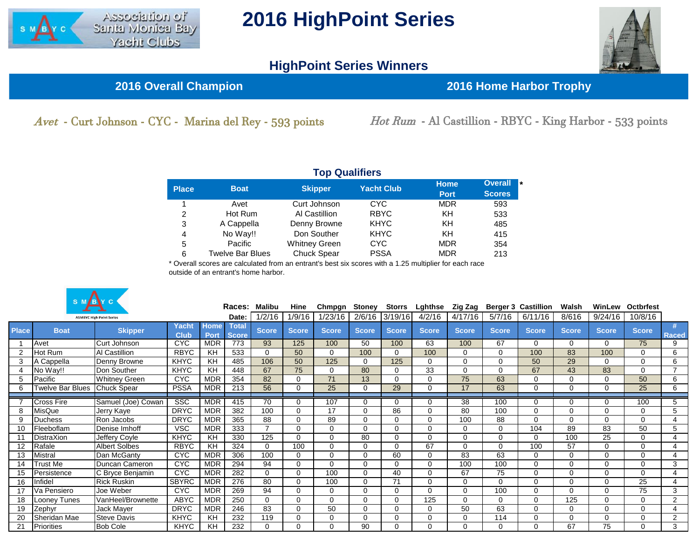

## **2016 HighPoint Series**

## **HighPoint Series Winners**



**2016 Overall Champion 2016 Home Harbor Trophy**

Avet - Curt Johnson - CYC - Marina del Rey - 593 points Hot Rum - Al Castillion - RBYC - King Harbor - 533 points

| <b>Top Qualifiers</b> |                         |                      |                   |                            |                                        |  |  |  |  |  |  |  |  |
|-----------------------|-------------------------|----------------------|-------------------|----------------------------|----------------------------------------|--|--|--|--|--|--|--|--|
| <b>Place</b>          | <b>Boat</b>             | <b>Skipper</b>       | <b>Yacht Club</b> | <b>Home</b><br><b>Port</b> | <b>Overall</b><br>l *<br><b>Scores</b> |  |  |  |  |  |  |  |  |
|                       | Avet                    | Curt Johnson         | <b>CYC</b>        | <b>MDR</b>                 | 593                                    |  |  |  |  |  |  |  |  |
| 2                     | Hot Rum                 | Al Castillion        | <b>RBYC</b>       | KH                         | 533                                    |  |  |  |  |  |  |  |  |
| 3                     | A Cappella              | Denny Browne         | <b>KHYC</b>       | KH                         | 485                                    |  |  |  |  |  |  |  |  |
| 4                     | No Way!!                | Don Souther          | <b>KHYC</b>       | KH                         | 415                                    |  |  |  |  |  |  |  |  |
| 5                     | Pacific                 | <b>Whitney Green</b> | <b>CYC</b>        | <b>MDR</b>                 | 354                                    |  |  |  |  |  |  |  |  |
| 6                     | <b>Twelve Bar Blues</b> | <b>Chuck Spear</b>   | <b>PSSA</b>       | <b>MDR</b>                 | 213                                    |  |  |  |  |  |  |  |  |

\* Overall scores are calculated from an entrant's best six scores with a 1.25 multiplier for each race outside of an entrant's home harbor.



|              |                   |                                 |                      | Races:       |                              | Malibu          | Hine         | Chmpgn       | Stoney       | <b>Storrs</b> | Lghthse      | Zig Zag      |              | <b>Berger 3 Castillion</b> | Walsh        |              | <b>WinLew Octbrfest</b> |                |
|--------------|-------------------|---------------------------------|----------------------|--------------|------------------------------|-----------------|--------------|--------------|--------------|---------------|--------------|--------------|--------------|----------------------------|--------------|--------------|-------------------------|----------------|
|              |                   | <b>ASMBYC High Point Series</b> |                      |              | Date:                        | 1/2/16          | 1/9/16       | 1/23/16      | 2/6/16       | 3/19/16       | 4/2/16       | 4/17/16      | 5/7/16       | 6/11/16                    | 8/616        | 9/24/16      | 10/8/16                 |                |
| <b>Place</b> | <b>Boat</b>       | <b>Skipper</b>                  | Yacht<br><b>Club</b> | Home<br>Port | <b>Total</b><br><b>Score</b> | <b>Score</b>    | <b>Score</b> | <b>Score</b> | <b>Score</b> | <b>Score</b>  | <b>Score</b> | <b>Score</b> | <b>Score</b> | <b>Score</b>               | <b>Score</b> | <b>Score</b> | <b>Score</b>            | Raced          |
|              | Avet              | Curt Johnson                    | <b>CYC</b>           | <b>MDR</b>   | 773                          | 93              | 125          | 100          | 50           | 100           | 63           | 100          | 67           | 0                          | 0            | $\Omega$     | 75                      | 9              |
|              | Hot Rum           | Al Castillion                   | <b>RBYC</b>          | KH           | 533                          | $\mathbf 0$     | 50           | $\Omega$     | 100          | $\Omega$      | 100          | $\mathbf 0$  | 0            | 100                        | 83           | 100          | 0                       | 6              |
|              | A Cappella        | Denny Browne                    | <b>KHYC</b>          | KH           | 485                          | 106             | 50           | 125          | 0            | 125           | $\mathbf 0$  | $\mathbf 0$  | 0            | 50                         | 29           | $\Omega$     | 0                       | 6              |
|              | No Way!!          | Don Souther                     | <b>KHYC</b>          | KH           | 448                          | 67              | 75           | $\Omega$     | 80           | $\Omega$      | 33           | $\Omega$     | 0            | 67                         | 43           | 83           | $\Omega$                | $\overline{7}$ |
|              | Pacific           | <b>Whitney Green</b>            | <b>CYC</b>           | <b>MDR</b>   | 354                          | 82              | $\Omega$     | 71           | 13           | $\Omega$      | $\mathbf 0$  | 75           | 63           | $\Omega$                   | $\Omega$     | 0            | 50                      | 6              |
|              | Twelve Bar Blues  | <b>Chuck Spear</b>              | <b>PSSA</b>          | <b>MDR</b>   | 213                          | 56              | $\Omega$     | 25           | 0            | 29            | $\mathbf 0$  | 17           | 63           | $\Omega$                   | 0            | 0            | 25                      | 6              |
|              | <b>Cross Fire</b> | Samuel (Joe) Cowan              | SSC                  | <b>MDR</b>   | 415                          | 70              | $\Omega$     | 107          | $\Omega$     | $\Omega$      | $\mathbf 0$  | 38           | 100          | 0                          | O            | 0            | 100                     | 5              |
|              | MisQue            | Jerry Kaye                      | <b>DRYC</b>          | <b>MDR</b>   | 382                          | 100             | $\Omega$     | 17           | 0            | 86            | $\mathbf 0$  | 80           | 100          | 0                          | $\Omega$     | 0            | 0                       | 5              |
| $\mathbf{Q}$ | <b>Duchess</b>    | Ron Jacobs                      | <b>DRYC</b>          | <b>MDR</b>   | 365                          | 88              | $\Omega$     | 89           | 0            | $\Omega$      | $\mathbf 0$  | 100          | 88           | $\Omega$                   | $\Omega$     | 0            | 0                       | 4              |
| 10           | Fleeboflam        | Denise Imhoff                   | <b>VSC</b>           | <b>MDR</b>   | 333                          | $\overline{7}$  | $\Omega$     | $\Omega$     | $\Omega$     | $\Omega$      | $\mathbf 0$  | $\Omega$     | 0            | 104                        | 89           | 83           | 50                      | 5              |
|              | <b>DistraXion</b> | Jeffery Coyle                   | <b>KHYC</b>          | KH           | 330                          | 125             | $\Omega$     | $\Omega$     | 80           | 0             | $\Omega$     | $\Omega$     | 0            | 0                          | 100          | 25           | 0                       | 4              |
| 12           | Rafale            | <b>Albert Solbes</b>            | <b>RBYC</b>          | KH           | 324                          | $\mathbf 0$     | 100          | $\Omega$     | 0            | $\Omega$      | 67           | $\Omega$     | 0            | 100                        | 57           | 0            | 0                       | 4              |
| 13           | Mistral           | Dan McGanty                     | <b>CYC</b>           | <b>MDR</b>   | 306                          | 100             | $\Omega$     | $\Omega$     | 0            | 60            | $\mathbf 0$  | 83           | 63           | 0                          | 0            | $\Omega$     | 0                       |                |
| 14           | Frust Me          | Duncan Cameron                  | <b>CYC</b>           | <b>MDR</b>   | 294                          | 94              | $\Omega$     | $\Omega$     | 0            | $\Omega$      | $\mathbf 0$  | 100          | 100          | 0                          | 0            | 0            | 0                       | 3              |
| 15           | Persistence       | C Bryce Benjamin                | <b>CYC</b>           | <b>MDR</b>   | 282                          | $\mathbf 0$     | $\Omega$     | 100          | 0            | 40            | $\mathbf 0$  | 67           | 75           | 0                          | ∩            | 0            | 0                       |                |
| 16           | Infidel           | <b>Rick Ruskin</b>              | <b>SBYRC</b>         | <b>MDR</b>   | 276                          | $\overline{80}$ | $\Omega$     | 100          | $\Omega$     | 71            | $\mathbf 0$  | $\Omega$     | $\Omega$     | $\Omega$                   | $\Omega$     | $\Omega$     | 25                      | 4              |
| 17           | Va Pensiero       | Joe Weber                       | <b>CYC</b>           | <b>MDR</b>   | 269                          | 94              | $\Omega$     | 0            | 0            | $\Omega$      | $\mathbf 0$  | $\Omega$     | 100          | $\Omega$                   | $\Omega$     | $\Omega$     | 75                      | 3              |
| 18           | Looney Tunes      | VanHeel/Brownette               | <b>ABYC</b>          | <b>MDR</b>   | 250                          | $\Omega$        | $\Omega$     | $\Omega$     | $\Omega$     | $\Omega$      | 125          | $\Omega$     | 0            | $\Omega$                   | 125          | 0            | 0                       | 2              |
| 19           | Zephyr            | Jack Mayer                      | <b>DRYC</b>          | <b>MDR</b>   | 246                          | 83              | $\Omega$     | 50           | 0            | $\Omega$      | $\mathbf 0$  | 50           | 63           | $\Omega$                   | $\Omega$     | 0            | 0                       | 4              |
| 20           | Sheridan Mae      | <b>Steve Davis</b>              | <b>KHYC</b>          | KH           | 232                          | 119             | $\Omega$     | $\Omega$     | 0            | $\mathbf 0$   | $\mathbf 0$  | $\Omega$     | 114          | 0                          | 0            | $\Omega$     | 0                       | 2              |
|              | Priorities        | <b>Bob Cole</b>                 | <b>KHYC</b>          | KH           | 232                          | $\Omega$        | ∩            | 0            | 90           | O             | $\Omega$     | $\Omega$     | U            | 0                          | 67           | 75           | 0                       | 3              |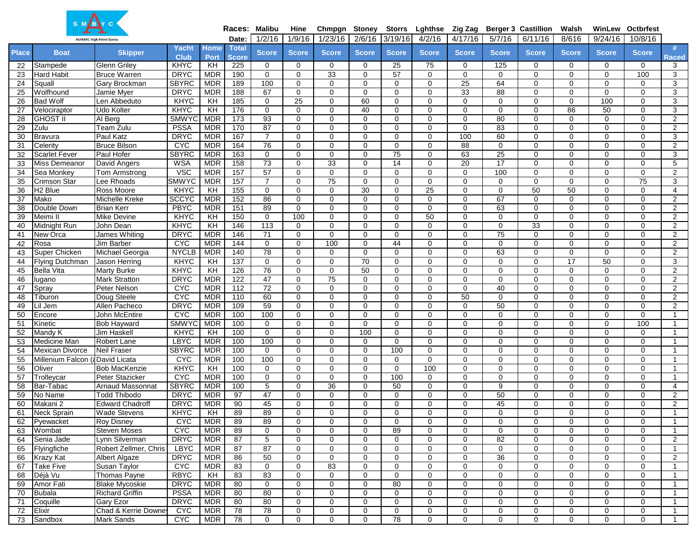|              | S M B Y C                       |                         |                |                |              |                 |              |               |                 |                 |                 |                 |                 |                            |                 |              |                  |                |
|--------------|---------------------------------|-------------------------|----------------|----------------|--------------|-----------------|--------------|---------------|-----------------|-----------------|-----------------|-----------------|-----------------|----------------------------|-----------------|--------------|------------------|----------------|
|              |                                 |                         |                |                |              | Races: Malibu   | Hine         | Chmpgn Stoney |                 | <b>Storrs</b>   | Lghthse         | Zig Zag         |                 | <b>Berger 3 Castillion</b> | Walsh           | WinLew       | <b>Octbrfest</b> |                |
|              | <b>ASMBYC High Point Series</b> |                         |                |                | Date:        | 1/2/16          | 1/9/16       | 1/23/16       | 2/6/16          | 3/19/16         | 4/2/16          | 4/17/16         | 5/7/16          | 6/11/16                    | 8/616           | 9/24/16      | 10/8/16          |                |
| <b>Place</b> | <b>Boat</b>                     | <b>Skipper</b>          | Yacht          | Home           | <b>Total</b> | <b>Score</b>    | <b>Score</b> | <b>Score</b>  | <b>Score</b>    | <b>Score</b>    | <b>Score</b>    | <b>Score</b>    | <b>Score</b>    | <b>Score</b>               | <b>Score</b>    | <b>Score</b> | Score            | #              |
|              |                                 |                         | <b>Club</b>    | Port           | <b>Score</b> |                 |              |               |                 |                 |                 |                 |                 |                            |                 |              |                  | <b>Raced</b>   |
| 22           | Stampede                        | <b>Glenn Griley</b>     | <b>KHYC</b>    | KH             | 225          | 0               | 0            | $\mathbf 0$   | $\mathbf 0$     | 25              | 75              | 0               | 125             | 0                          | 0               | 0            | 0                | 3              |
| 23           | <b>Hard Habit</b>               | <b>Bruce Warren</b>     | <b>DRYC</b>    | <b>MDR</b>     | 190          | $\mathbf 0$     | $\Omega$     | 33            | $\Omega$        | 57              | 0               | $\mathbf 0$     | $\mathbf 0$     | $\mathbf 0$                | $\mathbf 0$     | $\mathbf 0$  | 100              | 3              |
| 24           | Squall                          | Gary Brockman           | <b>SBYRC</b>   | <b>MDR</b>     | 189          | 100             | $\Omega$     | $\Omega$      | $\Omega$        | $\Omega$        | $\mathbf 0$     | $\overline{25}$ | 64              | $\mathbf 0$                | $\mathbf 0$     | $\mathbf 0$  | 0                | 3              |
| 25           | Wolfhound                       | Jamie Myer              | <b>DRYC</b>    | <b>MDR</b>     | 188          | 67              | $\Omega$     | $\mathbf 0$   | $\Omega$        | $\Omega$        | $\mathbf 0$     | 33              | 88              | $\mathbf 0$                | $\mathbf 0$     | $\mathbf 0$  | 0                | 3              |
| 26           | <b>Bad Wolf</b>                 | Len Abbeduto            | KHYC           | KH             | 185          | $\mathbf 0$     | 25           | $\Omega$      | 60              | $\Omega$        | $\mathbf 0$     | $\mathbf 0$     | $\mathbf 0$     | $\mathbf 0$                | 0               | 100          | 0                | 3              |
| 27           | Velociraptor                    | <b>Udo Kolter</b>       | KHYC           | KH             | 176          | $\overline{0}$  | $\Omega$     | $\Omega$      | 40              | $\Omega$        | $\mathbf 0$     | $\mathbf 0$     | $\mathbf 0$     | $\mathbf 0$                | $\overline{86}$ | 50           | 0                | 3              |
| 28           | <b>GHOST II</b>                 | Al Berg                 | <b>SMWYC</b>   | <b>MDR</b>     | 173          | 93              | 0            | $\mathbf 0$   | $\Omega$        | $\Omega$        | $\mathbf 0$     | $\mathbf 0$     | 80              | 0                          | 0               | $\mathbf 0$  | 0                | 2              |
| 29           | Zulu                            | Team Zulu               | <b>PSSA</b>    | <b>MDR</b>     | 170          | 87              | 0            | $\mathbf 0$   | $\Omega$        | $\Omega$        | $\mathbf 0$     | $\mathbf 0$     | 83              | $\mathbf 0$                | $\mathbf 0$     | $\mathbf 0$  | 0                | $\overline{2}$ |
| 30           | <b>Bravura</b>                  | <b>Paul Katz</b>        | <b>DRYC</b>    | <b>MDR</b>     | 167          | $\overline{7}$  | $\Omega$     | $\Omega$      | $\Omega$        | $\Omega$        | $\mathbf 0$     | 100             | 60              | $\mathbf 0$                | $\mathbf 0$     | $\Omega$     | $\Omega$         | 3              |
| 31           | Celerity                        | <b>Bruce Bilson</b>     | C <sub>X</sub> | <b>MDR</b>     | 164          | 76              | 0            | $\mathbf 0$   | 0               | 0               | $\mathbf 0$     | 88              | 0               | 0                          | 0               | $\mathbf 0$  | 0                | 2              |
| 32           | <b>Scarlet Fever</b>            | Paul Hofer              | <b>SBYRC</b>   | <b>MDR</b>     | 163          | $\mathbf 0$     | 0            | $\mathbf 0$   | $\Omega$        | $\overline{75}$ | $\mathbf 0$     | 63              | $\overline{25}$ | $\mathbf 0$                | $\mathbf 0$     | $\mathbf 0$  | 0                | 3              |
| 33           | Miss Demeanor                   | David Angers            | <b>WSA</b>     | <b>MDR</b>     | 158          | 73              | 0            | 33            | $\Omega$        | 14              | $\mathbf 0$     | 20              | 17              | $\mathbf 0$                | $\mathbf 0$     | $\mathbf 0$  | 0                | 5              |
| 34           | Sea Monkey                      | Tom Armstrong           | <b>VSC</b>     | <b>MDR</b>     | 157          | 57              | 0            | $\mathbf 0$   | $\Omega$        | $\Omega$        | 0               | $\mathbf 0$     | 100             | $\mathbf 0$                | $\mathbf 0$     | $\mathbf 0$  | 0                | $\overline{2}$ |
| 35           | Crimson Star                    | Lee Rhoads              | <b>SMWYC</b>   | <b>MDR</b>     | 157          | $\overline{7}$  | 0            | 75            | 0               | $\Omega$        | $\mathbf 0$     | $\mathbf 0$     | $\mathbf 0$     | $\mathbf 0$                | $\mathbf 0$     | $\mathbf 0$  | 75               | 3              |
| 36           | H <sub>2</sub> Blue             | Ross Moore              | KHYC           | KH             | 155          | $\mathbf 0$     | $\Omega$     | $\mathbf 0$   | 30              | $\Omega$        | $\overline{25}$ | $\mathbf 0$     | $\mathbf 0$     | 50                         | 50              | $\mathbf 0$  | 0                | 4              |
| 37           | Mako                            | <b>Michelle Kreke</b>   | <b>SCCYC</b>   | <b>MDR</b>     | 152          | 86              | $\Omega$     | $\Omega$      | $\Omega$        | $\Omega$        | $\mathbf 0$     | $\mathbf 0$     | 67              | $\mathbf 0$                | $\mathbf 0$     | $\mathbf 0$  | 0                | $\overline{2}$ |
| 38           | Double Down                     | <b>Brian Kerr</b>       | <b>PBYC</b>    | <b>MDR</b>     | 151          | 89              | $\mathbf 0$  | $\Omega$      | $\Omega$        | $\Omega$        | $\mathbf 0$     | $\mathbf 0$     | 63              | $\mathbf 0$                | $\mathbf 0$     | $\mathbf 0$  | $\Omega$         | $\overline{2}$ |
| 39           | Meimi II                        | <b>Mike Devine</b>      | <b>KHYC</b>    | KH             | 150          | $\mathbf 0$     | 100          | $\mathbf 0$   | $\Omega$        | 0               | 50              | $\mathbf 0$     | $\mathbf 0$     | $\mathbf 0$                | $\mathbf 0$     | 0            | 0                | 2              |
| 40           | Midnight Run                    | John Dean               | KHYC           | KH             | 146          | 113             | 0            | $\Omega$      | $\Omega$        | $\Omega$        | $\mathbf 0$     | $\mathbf 0$     | 0               | 33                         | $\mathbf 0$     | $\mathbf 0$  | 0                | $\overline{2}$ |
| 41           | New Orca                        | James Whiting           | <b>DRYC</b>    | <b>MDR</b>     | 146          | $\overline{71}$ | $\mathbf 0$  | $\Omega$      | $\Omega$        | $\Omega$        | $\mathbf 0$     | $\mathbf 0$     | $\overline{75}$ | $\mathbf 0$                | $\mathbf 0$     | $\mathbf 0$  | 0                | $\overline{2}$ |
| 42           | Rosa                            | Jim Barber              | C <sub>X</sub> | <b>MDR</b>     | 144          | $\mathbf 0$     | 0            | 100           | 0               | 44              | $\mathbf 0$     | $\mathbf 0$     | $\mathbf 0$     | $\mathbf 0$                | 0               | $\mathbf 0$  | 0                | $\overline{2}$ |
| 43           | Super Chicken                   | Michael Georgia         | <b>NYCLB</b>   | <b>MDR</b>     | 140          | 78              | $\Omega$     | $\Omega$      | $\Omega$        | $\Omega$        | $\mathbf 0$     | $\mathbf 0$     | 63              | $\mathbf 0$                | $\mathbf 0$     | $\mathbf 0$  | 0                | $\overline{2}$ |
| 44           | <b>Flying Dutchman</b>          | Jason Herring           | <b>KHYC</b>    | KH             | 137          | $\mathbf 0$     | 0            | $\mathbf 0$   | 70              | $\Omega$        | $\mathbf 0$     | 0               | 0               | $\mathbf 0$                | 17              | 50           | 0                | 3              |
| 45           | <b>Bella Vita</b>               | <b>Marty Burke</b>      | KHYC           | $\overline{K}$ | 126          | 76              | 0            | $\mathbf 0$   | $\overline{50}$ | $\Omega$        | $\mathbf 0$     | $\mathbf 0$     | $\mathbf 0$     | $\mathbf 0$                | $\mathbf 0$     | $\mathbf 0$  | 0                | $\overline{2}$ |
| 46           | lugano                          | <b>Mark Stratton</b>    | <b>DRYC</b>    | <b>MDR</b>     | 122          | 47              | 0            | 75            | 0               | $\Omega$        | $\mathbf 0$     | $\mathbf 0$     | 0               | $\mathbf 0$                | $\mathbf 0$     | $\mathbf 0$  | 0                | $\overline{2}$ |
| 47           | Spray                           | Peter Nelson            | <b>CYC</b>     | <b>MDR</b>     | 112          | 72              | $\Omega$     | $\mathbf 0$   | $\Omega$        | $\Omega$        | $\mathbf 0$     | $\mathbf 0$     | 40              | $\mathbf 0$                | $\mathbf 0$     | $\mathbf 0$  | 0                | 2              |
| 48           | Tiburon                         | Doug Steele             | <b>CYC</b>     | <b>MDR</b>     | 110          | 60              | $\Omega$     | $\Omega$      | $\Omega$        | $\Omega$        | $\mathbf 0$     | 50              | $\mathbf 0$     | $\mathbf 0$                | $\mathbf 0$     | $\mathbf 0$  | 0                | $\overline{2}$ |
| 49           | Lil Jem                         | Allen Pacheco           | <b>DRYC</b>    | <b>MDR</b>     | 109          | 59              | 0            | $\Omega$      | $\Omega$        | $\Omega$        | $\mathbf 0$     | $\mathbf 0$     | 50              | $\mathbf 0$                | $\mathbf 0$     | $\mathbf 0$  | 0                | $\overline{2}$ |
| 50           | Encore                          | John McEntire           | <b>CYC</b>     | <b>MDR</b>     | 100          | 100             | $\Omega$     | $\mathbf 0$   | $\Omega$        | $\Omega$        | $\mathbf 0$     | $\mathbf 0$     | $\mathbf 0$     | $\mathbf 0$                | $\mathbf 0$     | $\mathbf 0$  | 0                | -1             |
| 51           | Kinetic                         | <b>Bob Hayward</b>      | <b>SMWYC</b>   | <b>MDR</b>     | 100          | $\mathbf 0$     | 0            | $\Omega$      | $\Omega$        | $\Omega$        | $\mathbf 0$     | $\mathbf 0$     | $\mathbf 0$     | $\mathbf 0$                | 0               | $\mathbf 0$  | 100              | $\overline{1}$ |
| 52           | Mandy K                         | <b>Jim Haskell</b>      | KHYC           | KH             | 100          | $\overline{0}$  | $\Omega$     | $\Omega$      | 100             | $\Omega$        | $\mathbf 0$     | $\mathbf 0$     | $\mathbf 0$     | $\mathbf 0$                | $\overline{0}$  | $\mathbf 0$  | $\Omega$         | $\overline{1}$ |
| 53           | Medicine Man                    | <b>Robert Lane</b>      | <b>LBYC</b>    | <b>MDR</b>     | 100          | 100             | 0            | $\mathbf 0$   | 0               | 0               | $\mathbf 0$     | $\mathbf 0$     | $\mathbf 0$     | 0                          | 0               | $\mathbf 0$  | 0                | $\overline{1}$ |
| 54           | Mexican Divorce                 | <b>Neil Fraser</b>      | <b>SBYRC</b>   | <b>MDR</b>     | 100          | $\mathbf 0$     | 0            | $\mathbf 0$   | $\Omega$        | 100             | $\mathbf 0$     | $\mathbf 0$     | $\mathbf 0$     | $\mathbf 0$                | $\mathbf 0$     | $\mathbf 0$  | 0                | $\overline{1}$ |
| 55           | Millenium Falcon (aDavid Licata |                         | <b>CYC</b>     | <b>MDR</b>     | 100          | 100             | $\Omega$     | $\Omega$      | $\Omega$        | $\Omega$        | $\mathbf 0$     | $\Omega$        | $\Omega$        | $\mathbf 0$                | $\mathbf 0$     | $\Omega$     | 0                | -1             |
| 56           | Oliver                          | <b>Bob MacKenzie</b>    | <b>KHYC</b>    | KH             | 100          | $\mathbf 0$     | 0            | $\mathbf 0$   | $\Omega$        | $\Omega$        | 100             | $\mathbf 0$     | 0               | 0                          | 0               | $\mathbf 0$  | 0                | $\overline{1}$ |
| 57           | Trolleycar                      | Peter Stazicker         | <b>CYC</b>     | <b>MDR</b>     | 100          | $\mathbf 0$     | 0            | $\mathbf 0$   | $\Omega$        | 100             | $\mathbf 0$     | $\mathbf 0$     | $\mathbf 0$     | 0                          | 0               | $\mathbf 0$  | 0                | $\mathbf 1$    |
| 58           | Bar-Tabac                       | <b>Arnaud Massonnat</b> | <b>SBYRC</b>   | <b>MDR</b>     | 100          | 5               | $\Omega$     | 36            | $\Omega$        | 50              | $\mathbf 0$     | $\Omega$        | 9               | $\mathbf 0$                | $\mathbf 0$     | $\mathbf 0$  | 0                | 4              |
| 59           | No Name                         | <b>Todd Thibodo</b>     | <b>DRYC</b>    | <b>MDR</b>     | 97           | 47              | $\Omega$     | $\Omega$      | $\Omega$        | $\Omega$        | $\mathbf 0$     | $\mathbf 0$     | 50              | $\mathbf 0$                | $\mathbf 0$     | $\mathbf 0$  | 0                | 2              |
| 60           | Makani 2                        | <b>Edward Chadroff</b>  | <b>DRYC</b>    | <b>MDR</b>     | 90           | 45              | 0            | $\mathbf 0$   | 0               | 0               | 0               | $\mathbf 0$     | 45              | 0                          | $\mathbf 0$     | $\mathbf 0$  | 0                | $\overline{2}$ |
| 61           | <b>Neck Sprain</b>              | <b>Wade Stevens</b>     | <b>KHYC</b>    | KH             | 89           | 89              | $\Omega$     | $\Omega$      | $\Omega$        | $\Omega$        | $\mathbf 0$     | $\Omega$        | $\Omega$        | $\mathbf 0$                | $\mathbf 0$     | $\mathbf 0$  | 0                |                |
|              | 62 Pyewacket                    | <b>Roy Disney</b>       | <b>CYC</b>     | MDR            | 89           | 89              | 0            | 0             | 0               | 0               | 0               | 0               | 0               | 0                          | 0               | 0            | 0                | $\overline{1}$ |
| 63           | Wombat                          | <b>Steven Moses</b>     | C <sub>X</sub> | <b>MDR</b>     | 89           | $\mathbf 0$     | $\mathbf 0$  | $\mathbf 0$   | $\mathbf 0$     | 89              | $\mathbf 0$     | $\mathbf 0$     | $\mathbf 0$     | $\mathbf 0$                | $\mathbf 0$     | $\mathbf 0$  | 0                | $\overline{1}$ |
| 64           | Senia Jade                      | Lynn Silverman          | <b>DRYC</b>    | <b>MDR</b>     | 87           | 5               | 0            | $\mathbf 0$   | 0               | $\mathbf{0}$    | $\mathbf 0$     | $\mathbf 0$     | 82              | 0                          | 0               | $\mathbf 0$  | 0                | $\overline{2}$ |
| 65           | Flyingfiche                     | Robert Zellmer, Chris   | <b>LBYC</b>    | MDR            | 87           | 87              | 0            | $\mathbf 0$   | 0               | $\mathbf 0$     | 0               | $\mathbf 0$     | 0               | $\mathbf 0$                | 0               | 0            | 0                | $\overline{1}$ |
| 66           | Krazy Kat                       | <b>Albert Algaze</b>    | <b>DRYC</b>    | <b>MDR</b>     | 86           | 50              | 0            | $\mathbf 0$   | 0               | 0               | 0               | 0               | 36              | 0                          | $\mathbf 0$     | 0            | 0                | $\overline{2}$ |
| 67           | <b>Take Five</b>                | Susan Taylor            | <b>CAC</b>     | <b>MDR</b>     | 83           | $\mathbf 0$     | 0            | 83            | 0               | 0               | $\mathbf 0$     | 0               | 0               | 0                          | 0               | 0            | 0                | $\overline{1}$ |
| 68           | Déjà Vu                         | <b>Thomas Payne</b>     | <b>RBYC</b>    | KH             | 83           | 83              | 0            | $\mathbf 0$   | 0               | $\mathbf 0$     | 0               | 0               | 0               | $\mathbf 0$                | 0               | 0            | 0                | $\overline{1}$ |
| 69           | Amor Fati                       | <b>Blake Mycoskie</b>   | <b>DRYC</b>    | <b>MDR</b>     | 80           | $\mathbf 0$     | 0            | $\mathbf 0$   | 0               | 80              | $\mathbf 0$     | 0               | 0               | $\mathbf 0$                | 0               | 0            | 0                | $\overline{1}$ |
| 70           | <b>Bubala</b>                   | <b>Richard Griffin</b>  | <b>PSSA</b>    | MDR            | 80           | 80              | 0            | $\mathbf 0$   | $\mathbf 0$     | $\mathbf 0$     | $\mathbf 0$     | 0               | $\mathbf 0$     | $\mathbf 0$                | 0               | 0            | 0                | $\overline{1}$ |
| 71           | Coquille                        | <b>Gary Ezor</b>        | <b>DRYC</b>    | MDR            | 80           | 80              | 0            | $\mathbf 0$   | 0               | 0               | $\mathbf 0$     | 0               | 0               | $\mathbf 0$                | $\mathbf 0$     | 0            | 0                | $\overline{1}$ |
| 72           | Elixir                          | Chad & Kerrie Downey    | <b>CYC</b>     | MDR            | 78           | 78              | 0            | $\mathbf 0$   | 0               | 0               | 0               | 0               | 0               | 0                          | 0               | 0            | 0                | $\overline{1}$ |
| 73           | Sandbox                         | <b>Mark Sands</b>       | <b>CAC</b>     | <b>MDR</b>     | 78           | $\mathbf 0$     | 0            | $\mathbf 0$   | 0               | 78              | 0               | $\mathbf 0$     | $\mathbf{0}$    | $\mathbf 0$                | 0               | 0            | 0                | $\overline{1}$ |

 $\Lambda$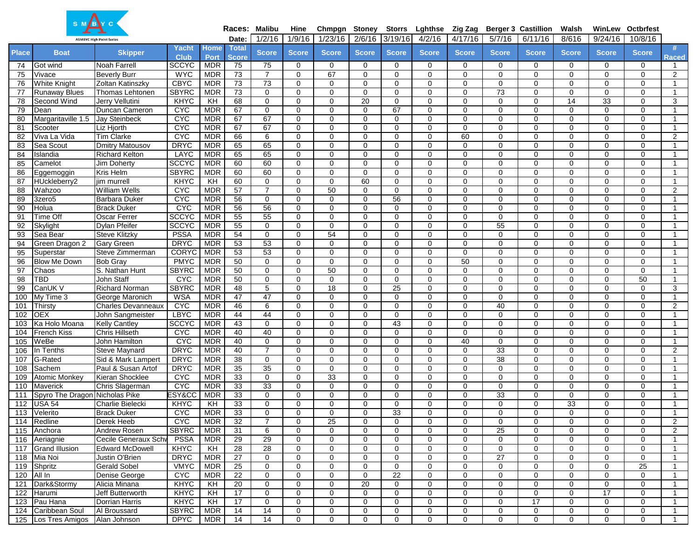| SMBYC        |                                   |                                              |                             |                          |                 | Races: Malibu              | Hine          | Chmpgn Stoney        |                      | <b>Storrs</b>        | Lghthse                    | Zig Zag                 |                         | <b>Berger 3 Castillion</b>    | Walsh                         |                         | <b>WinLew Octbrfest</b> |                             |
|--------------|-----------------------------------|----------------------------------------------|-----------------------------|--------------------------|-----------------|----------------------------|---------------|----------------------|----------------------|----------------------|----------------------------|-------------------------|-------------------------|-------------------------------|-------------------------------|-------------------------|-------------------------|-----------------------------|
|              |                                   | <b>ASMBYC High Point Series</b>              |                             |                          | Date:           | 1/2/16                     | 1/9/16        | 1/23/16              | 2/6/16               | 3/19/16              | 4/2/16                     | 4/17/16                 | 5/7/16                  | 6/11/16                       | 8/616                         | 9/24/16                 | 10/8/16                 |                             |
| <b>Place</b> | <b>Boat</b>                       | <b>Skipper</b>                               | Yacht                       | <b>Home</b>              | <b>Total</b>    | <b>Score</b>               | <b>Score</b>  | <b>Score</b>         | <b>Score</b>         | <b>Score</b>         | <b>Score</b>               | <b>Score</b>            | <b>Score</b>            | <b>Score</b>                  | <b>Score</b>                  | <b>Score</b>            | <b>Score</b>            | #                           |
|              |                                   |                                              | <b>Club</b>                 | Port                     | <b>Score</b>    |                            |               |                      |                      |                      |                            |                         |                         |                               |                               |                         |                         | Raced                       |
| 74           | Got wind                          | <b>Noah Farrell</b>                          | <b>SCCYC</b>                | <b>MDR</b>               | 75              | 75                         | 0             | $\mathbf 0$          | $\mathbf 0$          | 0                    | 0                          | $\mathbf 0$             | 0                       | 0                             | 0                             | 0                       | 0                       | $\overline{1}$              |
| 75           | Vivace                            | <b>Beverly Burr</b>                          | <b>WYC</b>                  | <b>MDR</b>               | 73              | $\overline{7}$             | 0             | 67                   | $\Omega$             | $\Omega$             | $\mathbf 0$                | $\mathbf 0$             | $\mathbf 0$             | $\mathbf 0$                   | 0                             | $\mathbf 0$             | 0                       | $\overline{2}$              |
| 76           | <b>White Knight</b>               | Zoltan Katinszky                             | <b>CBYC</b>                 | <b>MDR</b>               | $\overline{73}$ | $\overline{73}$            | $\Omega$      | $\Omega$             | $\Omega$             | 0                    | $\mathbf 0$                | $\Omega$                | $\mathbf 0$             | $\mathbf 0$                   | $\mathbf 0$                   | $\mathbf 0$             | 0                       | $\mathbf{1}$                |
| 77           | <b>Runaway Blues</b>              | Thomas Lehtonen                              | <b>SBYRC</b>                | <b>MDR</b>               | $\overline{73}$ | $\mathbf 0$                | $\Omega$      | $\Omega$             | $\Omega$             | $\Omega$             | $\mathbf 0$                | $\mathbf 0$             | 73                      | $\mathbf 0$                   | 0                             | 0                       | $\Omega$                | $\overline{1}$              |
| 78           | Second Wind                       | Jerry Vellutini                              | KHYC                        | $\overline{H}$           | 68              | $\mathbf 0$                | 0             | 0                    | 20                   | $\mathbf 0$          | $\mathbf 0$                | 0                       | 0                       | 0                             | 14                            | 33                      | 0                       | 3                           |
| 79           | Dean                              | Duncan Cameron                               | <b>CYC</b>                  | <b>MDR</b>               | 67              | $\mathbf 0$                | $\Omega$      | $\mathbf 0$          | $\Omega$             | 67                   | $\mathbf 0$                | $\mathbf 0$             | $\mathbf 0$             | $\mathbf 0$                   | 0                             | $\mathbf 0$             | 0                       | $\overline{1}$              |
| 80           | Margaritaville 1.5                | <b>Jay Steinbeck</b>                         | <b>CYC</b>                  | <b>MDR</b>               | 67              | 67                         | 0             | $\Omega$             | $\Omega$             | $\Omega$             | $\mathbf 0$                | $\mathbf 0$             | $\mathbf 0$             | $\mathbf 0$                   | 0                             | 0                       | 0                       | $\overline{1}$              |
| 81           | Scooter                           | Liz Hiorth                                   | <b>CYC</b>                  | <b>MDR</b>               | 67              | 67                         | 0             | $\Omega$             | $\Omega$             | $\Omega$             | $\mathbf 0$                | $\mathbf 0$             | $\mathbf 0$             | $\mathbf 0$                   | 0                             | $\mathbf 0$             | 0                       | $\overline{1}$              |
| 82           | Viva La Vida                      | <b>Tim Clarke</b>                            | <b>CYC</b>                  | <b>MDR</b>               | 66              | 6                          | $\Omega$      | $\mathbf 0$          | $\Omega$             | $\Omega$             | $\mathbf 0$                | 60                      | $\mathbf 0$             | $\mathbf 0$                   | 0                             | $\mathbf 0$             | 0                       | 2                           |
| 83           | Sea Scout                         | <b>Dmitry Matousov</b>                       | <b>DRYC</b>                 | <b>MDR</b>               | 65              | 65                         | 0             | $\Omega$             | $\Omega$             | $\Omega$             | $\mathbf 0$                | $\mathbf 0$             | $\mathbf 0$             | $\mathbf 0$                   | $\mathbf 0$                   | $\mathbf 0$             | 0                       | $\overline{1}$              |
| 84           | Islandia                          | <b>Richard Kelton</b>                        | LAYC                        | <b>MDR</b>               | 65              | 65                         | 0             | $\Omega$             | $\Omega$             | 0                    | $\mathbf 0$                | $\mathbf 0$             | $\mathbf 0$             | $\mathbf 0$                   | 0                             | 0                       | 0                       | $\overline{1}$              |
| 85           | Camelot                           | Jim Doherty                                  | <b>SCCYC</b>                | <b>MDR</b>               | 60              | 60                         | 0             | 0                    | 0                    | 0                    | $\mathbf 0$                | $\mathbf 0$             | $\mathbf 0$             | 0                             | $\mathbf 0$                   | $\mathbf 0$             | 0                       | $\overline{1}$              |
| 86           | Eggemoggin                        | <b>Kris Helm</b>                             | <b>SBYRC</b>                | <b>MDR</b>               | 60              | 60                         | 0             | $\Omega$             | $\Omega$             | $\Omega$             | $\mathbf 0$                | $\mathbf 0$             | $\mathbf 0$             | $\mathbf 0$                   | 0                             | 0                       | 0                       | $\overline{1}$              |
| 87           | HUckleberry2                      | jim murrell                                  | <b>KHYC</b>                 | KH                       | 60              | 0                          | 0             | 0                    | 60                   | $\Omega$             | $\mathbf 0$                | 0                       | 0                       | 0                             | $\mathbf 0$                   | 0                       | 0                       | $\overline{1}$              |
| 88           | Wahzoo                            | <b>William Wells</b>                         | <b>CYC</b>                  | <b>MDR</b>               | 57              | $\overline{7}$             | $\Omega$      | $\overline{50}$      | $\Omega$             | $\mathbf 0$          | $\mathbf 0$                | $\mathbf 0$             | $\mathbf 0$             | $\mathbf 0$                   | 0                             | $\mathbf 0$             | 0                       | 2                           |
| 89           | 3zero <sub>5</sub>                | <b>Barbara Duker</b>                         | <b>CYC</b>                  | <b>MDR</b>               | 56              | $\mathbf 0$                | $\Omega$      | $\Omega$             | $\Omega$             | $\overline{56}$      | $\mathbf 0$                | 0                       | $\mathbf 0$             | $\mathbf 0$                   | 0                             | $\mathbf 0$             | 0                       | $\overline{1}$              |
| 90           | Holua                             | <b>Brack Duker</b>                           | <b>CAC</b>                  | <b>MDR</b>               | 56              | 56                         | 0             | $\mathbf 0$          | $\Omega$             | 0                    | $\mathbf 0$                | $\mathbf 0$             | $\mathbf 0$             | 0                             | $\mathbf 0$                   | 0                       | 0                       |                             |
| 91           | <b>Time Off</b>                   | <b>Oscar Ferrer</b>                          | <b>SCCYC</b>                | <b>MDR</b>               | 55              | 55                         | 0             | $\mathbf 0$          | $\Omega$             | $\Omega$             | $\mathbf 0$                | $\mathbf 0$             | $\mathbf 0$             | $\mathbf 0$                   | 0                             | 0                       | 0                       | $\overline{1}$              |
| 92           | Skylight                          | <b>Dylan Pfeifer</b>                         | <b>SCCYC</b>                | <b>MDR</b>               | 55              | $\mathbf 0$                | 0             | $\Omega$             | $\Omega$             | 0                    | $\mathbf 0$                | $\mathbf 0$             | 55                      | $\mathbf 0$                   | 0                             | $\mathbf 0$             | 0                       | $\overline{1}$              |
| 93           | Sea Bear                          | <b>Steve Klitzky</b>                         | <b>PSSA</b>                 | <b>MDR</b>               | 54              | $\mathbf 0$                | 0             | 54                   | $\Omega$             | 0                    | $\mathbf 0$                | $\mathbf 0$             | $\mathbf 0$             | $\mathbf 0$                   | $\mathbf 0$                   | $\mathbf 0$             | 0                       | $\overline{\mathbf{1}}$     |
| 94           | Green Dragon 2                    | <b>Gary Green</b>                            | <b>DRYC</b>                 | <b>MDR</b><br><b>MDR</b> | 53<br>53        | 53<br>53                   | 0<br>$\Omega$ | $\Omega$<br>$\Omega$ | $\Omega$<br>$\Omega$ | $\Omega$<br>$\Omega$ | $\mathbf 0$<br>$\mathbf 0$ | $\mathbf 0$<br>$\Omega$ | $\mathbf 0$<br>$\Omega$ | $\mathbf 0$<br>$\overline{0}$ | $\mathbf 0$<br>$\overline{0}$ | $\mathbf 0$<br>$\Omega$ | 0<br>$\Omega$           | $\mathbf 1$<br>$\mathbf{1}$ |
| 95           | Superstar                         | Steve Zimmerman                              | <b>CORYC</b>                |                          |                 |                            |               |                      |                      |                      |                            |                         |                         |                               |                               |                         |                         |                             |
| 96<br>97     | <b>Blow Me Down</b>               | <b>Bob Gray</b>                              | <b>PMYC</b><br><b>SBYRC</b> | <b>MDR</b><br><b>MDR</b> | 50<br>50        | $\mathbf 0$<br>$\mathbf 0$ | 0<br>0        | 0<br>50              | 0<br>$\Omega$        | 0<br>$\Omega$        | $\mathbf 0$<br>$\mathbf 0$ | 50<br>$\mathbf 0$       | 0<br>$\mathbf 0$        | 0<br>$\mathbf 0$              | $\mathbf 0$<br>0              | 0<br>$\mathbf 0$        | 0<br>0                  | $\overline{1}$              |
| 98           | Chaos<br>TBD                      | S. Nathan Hunt<br>John Staff                 | <b>CYC</b>                  | <b>MDR</b>               | 50              | $\mathbf 0$                | $\Omega$      | $\Omega$             | $\Omega$             | $\Omega$             | $\mathbf 0$                | $\Omega$                | $\mathbf 0$             |                               | $\mathbf 0$                   | $\mathbf 0$             | 50                      | $\overline{1}$              |
| 99           | CanUK V                           | <b>Richard Norman</b>                        | <b>SBYRC</b>                | <b>MDR</b>               | 48              | 5                          |               | 18                   |                      | 25                   | $\mathbf 0$                | $\mathbf 0$             | $\mathbf 0$             | $\mathbf 0$<br>$\mathbf 0$    | $\mathbf 0$                   |                         | 0                       | $\overline{1}$              |
|              | My Time 3                         |                                              | <b>WSA</b>                  | <b>MDR</b>               | 47              | 47                         | 0<br>0        | $\Omega$             | 0<br>$\Omega$        | $\mathbf 0$          | $\mathbf 0$                | $\mathbf 0$             | $\mathbf 0$             | $\mathbf 0$                   | 0                             | 0<br>$\mathbf 0$        | 0                       | 3<br>$\overline{1}$         |
| 100<br>101   | Thirsty                           | George Maronich<br><b>Charles Devanneaux</b> | <b>CYC</b>                  | <b>MDR</b>               | 46              | 6                          | $\Omega$      | $\Omega$             | $\Omega$             | $\Omega$             | $\mathbf 0$                | $\Omega$                | 40                      | $\mathbf 0$                   | $\mathbf 0$                   | $\mathbf 0$             | 0                       | 2                           |
| 102          | <b>OEX</b>                        | John Sangmeister                             | <b>LBYC</b>                 | <b>MDR</b>               | $\overline{44}$ | 44                         | $\Omega$      | $\Omega$             | $\Omega$             | $\Omega$             | $\mathbf 0$                | $\mathbf 0$             | $\mathbf 0$             | $\overline{0}$                | 0                             | 0                       | $\Omega$                | $\overline{1}$              |
| 103          | Ka Holo Moana                     | <b>Kelly Cantley</b>                         | <b>SCCYC</b>                | <b>MDR</b>               | 43              | $\mathbf 0$                | 0             | 0                    | $\Omega$             | 43                   | $\mathbf 0$                | 0                       | $\mathbf 0$             | $\mathbf 0$                   | $\mathbf 0$                   | $\mathbf 0$             | 0                       | $\overline{1}$              |
| 104          | <b>French Kiss</b>                | <b>Chris Hillseth</b>                        | <b>CYC</b>                  | <b>MDR</b>               | $\overline{40}$ | 40                         | 0             | $\mathbf 0$          | $\Omega$             | $\Omega$             | $\mathbf 0$                | $\mathbf 0$             | $\mathbf 0$             | $\mathbf 0$                   | 0                             | $\mathbf 0$             | 0                       | $\mathbf{1}$                |
| 105          | WeBe                              | John Hamilton                                | <b>CYC</b>                  | <b>MDR</b>               | 40              | $\mathbf 0$                | $\Omega$      | $\Omega$             | $\Omega$             | $\Omega$             | $\mathbf 0$                | 40                      | $\mathbf 0$             | $\mathbf 0$                   | 0                             | 0                       | 0                       | $\overline{1}$              |
| 106          | In Tenths                         | <b>Steve Maynard</b>                         | <b>DRYC</b>                 | <b>MDR</b>               | 40              | $\overline{7}$             | $\Omega$      | $\Omega$             | $\Omega$             | $\Omega$             | $\mathbf 0$                | $\mathbf 0$             | 33                      | $\mathbf 0$                   | 0                             | $\mathbf 0$             | 0                       | 2                           |
| 107          | G-Rated                           | Sid & Mark Lampert                           | <b>DRYC</b>                 | <b>MDR</b>               | 38              | $\mathbf 0$                | 0             | $\mathbf 0$          | 0                    | $\Omega$             | $\mathbf 0$                | $\mathbf 0$             | 38                      | $\mathbf 0$                   | $\mathbf 0$                   | $\mathbf 0$             | 0                       | $\mathbf{1}$                |
| 108          | Sachem                            | Paul & Susan Artof                           | <b>DRYC</b>                 | <b>MDR</b>               | 35              | 35                         | 0             | $\mathbf 0$          | $\Omega$             | $\Omega$             | $\mathbf 0$                | $\mathbf 0$             | $\mathbf 0$             | $\mathbf 0$                   | 0                             | $\mathbf 0$             | 0                       | $\overline{1}$              |
| 109          | <b>Atomic Monkey</b>              | Kieran Shocklee                              | <b>CYC</b>                  | <b>MDR</b>               | 33              | $\mathbf 0$                | 0             | 33                   | $\Omega$             | 0                    | $\mathbf 0$                | $\mathbf 0$             | $\mathbf 0$             | $\mathbf 0$                   | 0                             | 0                       | 0                       | $\overline{1}$              |
| 110          | Maverick                          | Chris Slagerman                              | <b>CYC</b>                  | <b>MDR</b>               | 33              | 33                         | 0             | $\mathbf 0$          | 0                    | 0                    | $\mathbf 0$                | $\mathbf 0$             | $\mathbf 0$             | 0                             | $\mathbf 0$                   | 0                       | 0                       | $\overline{1}$              |
| 111          | Spyro The Dragon Nicholas Pike    |                                              | ESY&CC                      | <b>MDR</b>               | 33              | $\mathbf 0$                | 0             | $\mathbf 0$          | $\Omega$             | $\Omega$             | $\mathbf 0$                | $\mathbf 0$             | 33                      | $\mathbf 0$                   | 0                             | 0                       | 0                       | -1                          |
| 112          | <b>USA 54</b>                     | <b>Charlie Bielecki</b>                      | <b>KHYC</b>                 | KH                       | 33              | $\mathbf 0$                | 0             | $\Omega$             | $\Omega$             | 0                    | $\mathbf 0$                | 0                       | $\mathbf 0$             | $\mathbf 0$                   | 33                            | $\mathbf 0$             | 0                       |                             |
| 113          | Velerito                          | <b>Brack Duker</b>                           | CYC                         | <b>MDR</b>               | 33              | $\Omega$                   | 0             | $\Omega$             | $\Omega$             | $\overline{33}$      | $\Omega$                   | $\Omega$                | $\Omega$                | $\mathbf 0$                   | $\Omega$                      | $\mathbf 0$             | 0                       |                             |
|              | 114 Redline                       | Derek Heeb                                   | <b>CYC</b>                  | MDR                      | 32              | 7                          | 0             | 25                   | 0                    | 0                    | 0                          | 0                       | 0                       | 0                             | 0                             | 0                       | 0                       | $\overline{2}$              |
| 115          | Anchora                           | Andrew Rosen                                 | <b>SBYRC</b>                | <b>MDR</b>               | 31              | 6                          | 0             | 0                    | 0                    | 0                    | $\mathbf 0$                | $\mathbf 0$             | 25                      | 0                             | $\mathbf 0$                   | 0                       | $\mathbf 0$             | 2                           |
| 116          | Aeriagnie                         | Cecile Generaux Schy                         | <b>PSSA</b>                 | MDR                      | 29              | 29                         | 0             | 0                    | 0                    | 0                    | 0                          | 0                       | 0                       | 0                             | 0                             | 0                       | 0                       | $\overline{1}$              |
| 117          | <b>Grand Illusion</b>             | <b>Edward McDowell</b>                       | <b>KHYC</b>                 | KH                       | 28              | 28                         | 0             | 0                    | 0                    | $\mathbf 0$          | 0                          | $\mathbf 0$             | 0                       | 0                             | $\mathbf 0$                   | 0                       | 0                       | $\overline{1}$              |
| 118          | Mia Noi                           | Justin O'Brien                               | <b>DRYC</b>                 | <b>MDR</b>               | 27              | 0                          | 0             | 0                    | 0                    | 0                    | $\mathbf 0$                | $\mathbf 0$             | 27                      | 0                             | 0                             | 0                       | 0                       | $\overline{1}$              |
| 119          | Shpritz                           | <b>Gerald Sobel</b>                          | <b>VMYC</b>                 | MDR                      | 25              | 0                          | 0             | 0                    | $\mathbf 0$          | $\mathbf 0$          | $\mathbf 0$                | $\mathbf 0$             | 0                       | 0                             | 0                             | 0                       | 25                      | $\overline{1}$              |
| 120          | All In                            | Denise George                                | <b>CYC</b>                  | <b>MDR</b>               | 22              | $\mathbf 0$                | 0             | $\mathbf 0$          | $\mathbf 0$          | $\overline{22}$      | $\mathbf 0$                | $\mathbf 0$             | 0                       | $\mathbf 0$                   | 0                             | 0                       | $\mathbf 0$             | $\overline{1}$              |
| 121          | Dark&Stormy                       | Alicia Minana                                | <b>KHYC</b>                 | KН                       | 20              | 0                          | 0             | 0                    | 20                   | 0                    | 0                          | 0                       | 0                       | 0                             | 0                             | 0                       | 0                       | $\overline{1}$              |
| 122          | Harumi                            | Jeff Butterworth                             | KHYC                        | КH                       | 17              | 0                          | 0             | 0                    | 0                    | 0                    | $\mathbf 0$                | 0                       | 0                       | 0                             | 0                             | $\overline{17}$         | 0                       | $\mathbf{1}$                |
| 123          | Pau Hana                          | Dorrian Harris                               | <b>KHYC</b>                 | КH                       | 17              | 0                          | 0             | 0                    | 0                    | 0                    | 0                          | 0                       | 0                       | 17                            | 0                             | 0                       | 0                       | $\overline{1}$              |
| 124          | Caribbean Soul                    | Al Broussard                                 | <b>SBYRC</b>                | MDR                      | 14              | 14                         | 0             | 0                    | 0                    | 0                    | $\mathbf 0$                | 0                       | $\mathbf 0$             | $\mathbf 0$                   | 0                             | 0                       | $\mathbf 0$             | $\overline{1}$              |
|              | 125 Los Tres Amigos Allan Johnson |                                              | <b>DPYC</b>                 | <b>MDR</b>               | 14              | 14                         | 0             | 0                    | 0                    | $\mathbf 0$          | $\mathbf 0$                | 0                       | 0                       | 0                             | 0                             | 0                       | 0                       | $\overline{1}$              |

 $\Lambda$